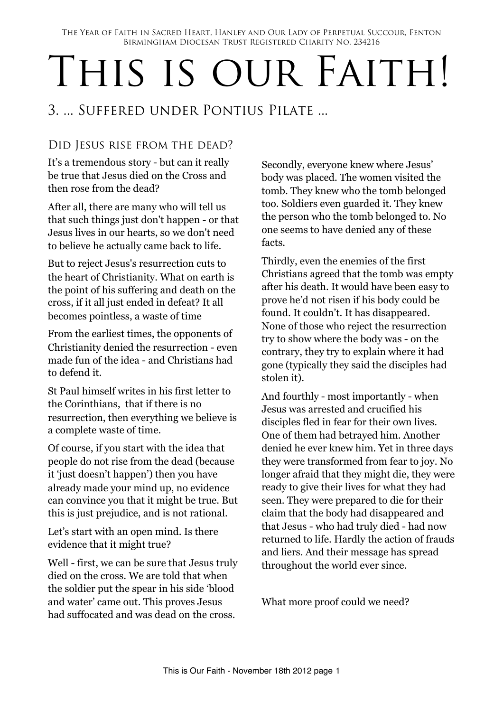The Year of Faith in Sacred Heart, Hanley and Our Lady of Perpetual Succour, Fenton Birmingham Diocesan Trust Registered Charity No. 234216

# THIS IS OUR FAITH!

## 3. ... Suffered under Pontius Pilate ...

## DID JESUS RISE FROM THE DEAD?

It's a tremendous story - but can it really be true that Jesus died on the Cross and then rose from the dead?

After all, there are many who will tell us that such things just don't happen - or that Jesus lives in our hearts, so we don't need to believe he actually came back to life.

But to reject Jesus's resurrection cuts to the heart of Christianity. What on earth is the point of his suffering and death on the cross, if it all just ended in defeat? It all becomes pointless, a waste of time

From the earliest times, the opponents of Christianity denied the resurrection - even made fun of the idea - and Christians had to defend it.

St Paul himself writes in his first letter to the Corinthians, that if there is no resurrection, then everything we believe is a complete waste of time.

Of course, if you start with the idea that people do not rise from the dead (because it 'just doesn't happen') then you have already made your mind up, no evidence can convince you that it might be true. But this is just prejudice, and is not rational.

Let's start with an open mind. Is there evidence that it might true?

Well - first, we can be sure that Jesus truly died on the cross. We are told that when the soldier put the spear in his side 'blood and water' came out. This proves Jesus had suffocated and was dead on the cross.

Secondly, everyone knew where Jesus' body was placed. The women visited the tomb. They knew who the tomb belonged too. Soldiers even guarded it. They knew the person who the tomb belonged to. No one seems to have denied any of these facts.

Thirdly, even the enemies of the first Christians agreed that the tomb was empty after his death. It would have been easy to prove he'd not risen if his body could be found. It couldn't. It has disappeared. None of those who reject the resurrection try to show where the body was - on the contrary, they try to explain where it had gone (typically they said the disciples had stolen it).

And fourthly - most importantly - when Jesus was arrested and crucified his disciples fled in fear for their own lives. One of them had betrayed him. Another denied he ever knew him. Yet in three days they were transformed from fear to joy. No longer afraid that they might die, they were ready to give their lives for what they had seen. They were prepared to die for their claim that the body had disappeared and that Jesus - who had truly died - had now returned to life. Hardly the action of frauds and liers. And their message has spread throughout the world ever since.

What more proof could we need?